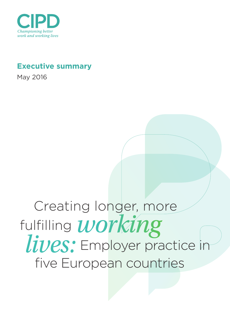

## **Executive summary**

May 2016

# Creating longer, more fulfilling *working lives:* Employer practice in five European countries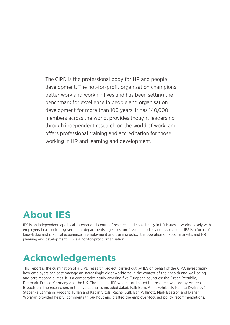The CIPD is the professional body for HR and people development. The not-for-profit organisation champions better work and working lives and has been setting the benchmark for excellence in people and organisation development for more than 100 years. It has 140,000 members across the world, provides thought leadership through independent research on the world of work, and offers professional training and accreditation for those working in HR and learning and development.

## **About IES**

IES is an independent, apolitical, international centre of research and consultancy in HR issues. It works closely with employers in all sectors, government departments, agencies, professional bodies and associations. IES is a focus of knowledge and practical experience in employment and training policy, the operation of labour markets, and HR planning and development. IES is a not-for-profit organisation.

# **Acknowledgements**

This report is the culmination of a CIPD research project, carried out by IES on behalf of the CIPD, investigating how employers can best manage an increasingly older workforce in the context of their health and well-being and care responsibilities. It is a comparative study covering five European countries: the Czech Republic, Denmark, France, Germany and the UK. The team at IES who co-ordinated the research was led by Andrea Broughton. The researchers in the five countries included Jakob Falk Bom, Anna Fohrbeck, Renata Kyzlinková, Štěpánka Lehmann, Frédéric Turlan and Katrin Vitols. Rachel Suff, Ben Willmott, Mark Beatson and Dianah Worman provided helpful comments throughout and drafted the employer-focused policy recommendations.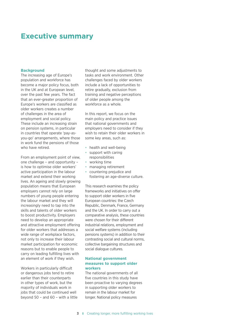### **Executive summary**

#### **Background**

The increasing age of Europe's population and workforce has become a major policy focus, both in the UK and at European level, over the past few years. The fact that an ever-greater proportion of Europe's workers are classified as older workers creates a number of challenges in the area of employment and social policy. These include an increasing strain on pension systems, in particular in countries that operate 'pay-asyou-go' arrangements, where those in work fund the pensions of those who have retired

From an employment point of view, one challenge – and opportunity – is how to optimise older workers' active participation in the labour market and extend their working lives. An ageing and slowly growing population means that European employers cannot rely on large numbers of young people entering the labour market and they will increasingly need to tap into the skills and talents of older workers to boost productivity. Employers need to develop an appropriate and attractive employment offering for older workers that addresses a wide range of workplace factors, not only to increase their labour market participation for economic reasons but to enable people to carry on leading fulfilling lives with an element of work if they wish.

Workers in particularly difficult or dangerous jobs tend to retire earlier than their counterparts in other types of work, but the majority of individuals work in jobs that could be continued well beyond 50 – and 60 – with a little thought and some adjustments to tasks and work environment. Other challenges faced by older workers include a lack of opportunities to retire gradually, exclusion from training and negative perceptions of older people among the workforce as a whole.

In this report, we focus on the main policy and practice issues that national governments and employers need to consider if they wish to retain their older workers in some key areas, such as:

- health and well-being
- support with caring responsibilities
- working time
- managing retirement
- countering prejudice and fostering an age-diverse culture.

This research examines the policy frameworks and initiatives on offer to support older workers in five European countries: the Czech Republic, Denmark, France, Germany and the UK. In order to carry out a comparative analysis, these countries were chosen for their different industrial relations, employment and social welfare systems (including pensions systems) in addition to their contrasting social and cultural norms, collective bargaining structures and social dialogue cultures.

#### **National government measures to support older workers**

The national governments of all five countries in this study have been proactive to varying degrees in supporting older workers to remain in the labour market for longer. National policy measures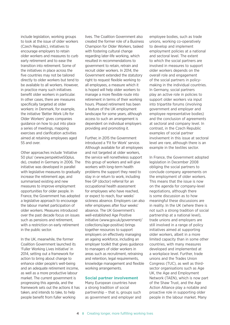include legislation, working groups to look at the issue of older workers (Czech Republic), initiatives to encourage employers to retain older workers and measures to curb early retirement and to ease the transition into retirement. Some of the initiatives in place across the five countries may not be tailored directly to older workers but tend to be available to all workers. However, in practice many such initiatives benefit older workers in particular. In other cases, there are measures specifically targeted at older workers: in Denmark, for example, the initiative 'Better Work Life for Older Workers' gives companies guidance on how to put into place a series of meetings, mapping exercises and clarification activities aimed at retaining employees aged 55 and over.

Other approaches include 'Initiative 50 plus' (www.perspektive50plus. de), created in Germany in 2006. The initiative was developed in parallel with legislative measures to gradually increase the retirement age, and summarised existing and new measures to improve employment opportunities for older people. In France, the Government has adopted a legislative approach to encourage the labour market participation of older workers. Measures introduced over the past decade focus on issues such as pensions and retirement, with a restriction on early retirement in the public sector.

In the UK, meanwhile, the former Coalition Government launched its 'Fuller Working Lives Initiative' in 2014, setting out a framework for action to bring about change to enhance older people's well-being and an adequate retirement income, as well as a more productive labour market. The current government is progressing this agenda, and the framework sets out the actions it has taken, and intends to take, to help people benefit from fuller working

lives. The Coalition Government also created the former role of a Business Champion for Older Workers, tasked with fostering cultural change regarding later-life working, which resulted in recommendations to government to retain, retrain and recruit older workers. In 2014, the Government extended the statutory right to request flexible working to all employees, a measure which it is hoped will help older workers to manage a more flexible route into retirement in terms of their working hours. Phased retirement has been a feature of the UK employment landscape for some years, although access to such an arrangement is dependent on individual employers providing and promoting it.

Further, in 2015 the Government introduced a 'Fit for Work' service. Although available for all employees and not targeted at older workers, the service will nonetheless support this group of workers and will give workers with long-term health problems the support they need to stay in or return to work, including free GP (doctor) referral for an occupational health assessment for employees who have reached, or expect to reach, four weeks' sickness absence. Employers can also refer employees after four weeks' absence. The UK Government's well-established Age Positive initiative (www.gov.uk/government/ collections/age-positive) brings together resources to support employers on effectively managing an ageing workforce, including an employer toolkit that gives guidance to managers of older workers in areas such as recruitment, retraining and retention, legal requirements, knowledge management and flexible working arrangements.

#### **Social partner involvement**

Many European countries have a strong tradition of social partnership – that is, groups such as government and employer and employee bodies, such as trade unions, working co-operatively to develop and implement employment policies at a national and sectoral level. The extent to which the social partners are involved in measures to support older workers depends on the overall role and engagement of the social partners in policymaking in the individual countries. In Germany, social partners play an active role in policies to support older workers via input into tripartite forums (involving government and employer and employee representative bodies) and the conclusion of agreements at sectoral and company level. In contrast, in the Czech Republic examples of social partner involvement in this issue at sectoral level are rare, although there is an example in the textiles sector.

In France, the Government adopted legislation in December 2008 obliging the social partners to conclude company agreements on the employment of older workers. This means that the issue is now on the agenda for company-level negotiations, although there is some discussion as to how meaningful these discussions are in reality. In the UK (where there is not such a strong tradition of social partnership at a national level), trade unions and employers are still involved in a range of policy initiatives aimed at supporting older workers, albeit in a more limited capacity than in some other countries, with many measures developed and implemented at a workplace level. Further, trade unions and the Trades Union Congress (TUC), as well as thirdsector organisations such as Age UK, the Age and Employment Network (TAEN), which is now part of the Shaw Trust, and the Age Action Alliance play a notable and proactive role in supporting older people in the labour market. Many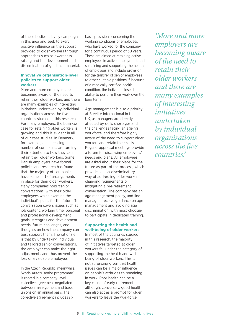of these bodies actively campaign in this area and seek to exert positive influence on the support provided to older workers through approaches such as awarenessraising and the development and dissemination of guidance material.

#### **Innovative organisation-level policies to support older workers**

More and more employers are becoming aware of the need to retain their older workers and there are many examples of interesting initiatives undertaken by individual organisations across the five countries studied in this research. For many employers, the business case for retaining older workers is growing and this is evident in all of our case studies. In Denmark, for example, an increasing number of companies are turning their attention to how they can retain their older workers. Some Danish employers have formal policies and research has found that the majority of companies have some sort of arrangements in place for their older workers. Many companies hold 'senior conversations' with their older employees which examine the individual's plans for the future. The conversation covers issues such as job content, working time, personal and professional development goals, strengths and development needs, future challenges, and thoughts on how the company can best support them. The rationale is that by undertaking individual and tailored senior conversations, the employer can make the right adjustments and thus prevent the loss of a valuable employee.

In the Czech Republic, meanwhile, Škoda Auto's 'senior programme' is rooted in a company-level collective agreement negotiated between management and trade unions on an annual basis. The collective agreement includes six

basic provisions concerning the working conditions of employees who have worked for the company for a continuous period of 30 years. These are aimed at retaining active employees in active employment and sustaining and supporting the health of employees and include provision for the transfer of senior employees to other suitable positions if, because of a medically certified health condition, the individual loses the ability to perform their work over the long term.

Age management is also a priority at Steelite International in the UK, as managers are directly affected by skills shortages and the challenges facing an ageing workforce, and therefore highly aware of the need to support older workers and retain their skills. Regular appraisal meetings provide a forum for discussing employees' needs and plans. All employees are asked about their plans for the future as part of the process, which provides a non-discriminatory way of addressing older workers' changing requirements or instigating a pre-retirement conversation. The company has an age management policy, and line managers receive guidance on age management and avoiding age discrimination, with most choosing to participate in dedicated training.

#### **Supporting the health and well-being of older workers**

In most of the countries studied in this research, the majority of initiatives targeted at older workers fall under the category of supporting the health and wellbeing of older workers. This is not surprising given that health issues can be a major influence on people's attitudes to remaining in work. Poor health can be a key cause of early retirement, although, conversely, good health can also act as a prompt for older workers to leave the workforce

*'More and more employers are becoming aware of the need to retain their older workers and there are many examples of interesting initiatives undertaken by individual organisations across the five countries.'*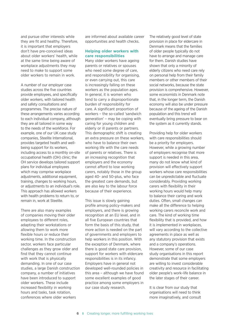and pursue other interests while they are fit and healthy. Therefore, it is important that employers don't have pre-conceived ideas about older workers' health, while at the same time being aware of workplace adjustments they may need to make to support some older workers to remain in work.

A number of our employer case studies across the five countries provide employees, and specifically older workers, with tailored health and safety consultations and programmes. The precise nature of these arrangements varies according to each individual company, although they are all tailored in some way to the needs of the workforce. For example, one of our UK case study companies, Steelite International, provides targeted health and wellbeing support for its workers, including access to a monthly on-site occupational health (OH) clinic; the OH service develops tailored support plans for individual employees which may comprise workplace adjustments, additional equipment, training, changes to working hours, or adjustments to an individual's role. This approach has allowed workers with health problems to return to, or remain in, work at Steelite.

There are also many examples of companies moving their older employees to different roles, adapting their workstations or allowing them to work more flexible hours or reduce their working time. In the construction sector, workers face particular challenges as they grow older and find that they cannot continue with work that is physically demanding. In one of our case studies, a large Danish construction company, a number of initiatives have been introduced to support older workers. These include increased flexibility in working hours and tasks, task rotation, conferences where older workers

are informed about available career opportunities and health checks.

#### **Helping older workers with care responsibilities**

Many older workers have ageing parents or relatives or spouses who need some degree of care. and responsibility for organising, or even carrying out, this care is increasingly falling on these workers as the population ages. In general, it is women who tend to carry a disproportionate burden of responsibility for care. A significant proportion of workers – the so-called 'sandwich generation' – may be coping with caring for young children and elderly or ill parents or partners. This demographic shift is creating an extra pressure on these workers, who have to balance their own working life with the care needs of parents or relatives. There is an increasing recognition that employers and the economy cannot afford to lose working carers, notably those in the group aged 40- and 50-plus, who face the greatest care demands, but are also key to the labour force because of their experience.

This issue is slowly gaining profile among policy-makers and employers, and there is growing recognition at an EU level, and in all five European countries that form the basis of this study, that more action is needed on the part of governments and employers to help workers in this position. With the exception of Denmark, where there is good state care provision, support for workers with eldercare responsibilities is in its infancy. Employers have in general not developed well-rounded policies in this area – although we have found some excellent examples of good practice among some employers in our case study research.

The relatively good level of state provision in place for eldercare in Denmark means that the families of older people typically do not have to arrange and manage care for them. Danish studies have shown that only a minority of elderly citizens who need care rely on personal help from their family members or other members of their social networks, because the state provision is comprehensive. However, some economists in Denmark note that, in the longer term, the Danish economy will also be under pressure because of the ageing of the Danish population and this trend will eventually bring pressure to bear on the system as it currently stands.

Providing help for older workers with care responsibilities should be a priority for employers. However, while a growing number of employers recognise that more support is needed in this area, many do not know what kind of provision will effectively support workers whose care responsibilities can be unpredictable and fluctuate considerably. Providing working carers with flexibility in their working hours would help many to balance their caring and work duties. Often, small changes can make all the difference to helping working carers reconcile work and care. The kind of working time flexibility that is provided, and how it is implemented in workplaces, will vary according to the collective agreements in place as well as any statutory provision that exists and a company's operations. However, some of our case study organisations in this report demonstrate that some employers are willing to invest considerable creativity and resource in facilitating older people's work–life balance in the later stages of their career.

It is clear from our study that organisations will need to think more imaginatively, and consult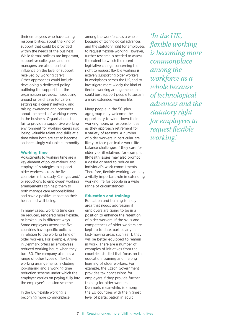their employees who have caring responsibilities, about the kind of support that could be provided within the needs of the business. While formal policies are important, supportive colleagues and line managers are also a central influence on the level of support received by working carers. Other approaches could include developing a dedicated policy outlining the support that the organisation provides, introducing unpaid or paid leave for carers, setting up a carers' network, and raising awareness and openness about the needs of working carers in the business. Organisations that fail to provide a supportive working environment for working carers risk losing valuable talent and skills at a time when both are set to become an increasingly valuable commodity.

#### **Working time**

Adjustments to working time are a key element of policy-makers' and employers' strategies to support older workers across the five countries in this study. Changes and/ or reductions to employees' working arrangements can help them to both manage care responsibilities and have a positive impact on their health and well-being.

In many cases, working time can be reduced, rendered more flexible, or broken up in different ways. Some employers across the five countries have specific policies in relation to the working time of older workers. For example, Arriva in Denmark offers all employees reduced working hours when they turn 60. The company also has a range of other types of flexible working arrangements, including job-sharing and a working time reduction scheme under which the employer carries on paying fully into the employee's pension scheme.

In the UK, flexible working is becoming more commonplace among the workforce as a whole because of technological advances and the statutory right for employees to request flexible working. However, further research is needed to assess the extent to which the recent legislative change concerning the right to request flexible working is actively supporting older workers in workplaces across the UK, and to investigate more widely the kind of flexible working arrangements that could best support people to sustain a more extended working life.

Many people in the 50-plus age group may welcome the opportunity to wind down their working hours or responsibilities as they approach retirement for a variety of reasons. A number of older workers in particular are likely to face particular work–life balance challenges if they care for elderly or ill relatives, for example. Ill-health issues may also prompt a desire or need to reduce an individual's work commitments. Therefore, flexible working can play a vitally important role in extending working life for people in a wide range of circumstances.

#### **Education and training**

Education and training is a key area that needs addressing if employers are going to be in a position to enhance the retention of older workers. If the skills and competences of older workers are kept up to date, particularly in fast-moving areas such as IT, they will be better equipped to remain in work. There are a number of examples of initiatives from the countries studied that focus on the education, training and lifelong learning of older workers. For example, the Czech Government provides tax concessions for employers if they provide further training for older workers. Denmark, meanwhile, is among the EU countries with the highest level of participation in adult

*'In the UK, flexible working is becoming more commonplace among the workforce as a whole because of technological advances and the statutory right for employees to request flexible working.'*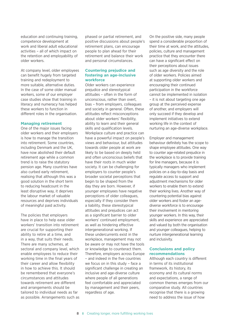education and continuing training, competence development at work and liberal adult educational activities – all of which impact on the retention and employability of older workers.

At company level, older employees can benefit hugely from targeted training and redeployment to more suitable, alternative duties. In the case of some older manual workers, some of our employer case studies show that training in literacy and numeracy has helped these workers to function in different roles in the organisation.

#### **Managing retirement**

One of the major issues facing older workers and their employers is how to manage the transition into retirement. Some countries, including Denmark and the UK, have now abolished their default retirement age while a common trend is to raise the statutory pension age. Many countries have also curbed early retirement, realising that although this was a good solution in the short term to reducing headcount in the least disruptive way, it deprives the labour market of valuable resources and deprives individuals of meaningful paid activity.

The policies that employers have in place to help ease older workers' transition into retirement are crucial for supporting their ability to retire at a time, and in a way, that suits their needs. There are many schemes, at sectoral and company level, which enable employees to reduce their working time in the final years of their career and allow flexibility in how to achieve this. It should be remembered that everyone's circumstances and attitudes towards retirement are different and arrangements should be tailored to individual needs as far as possible. Arrangements such as phased or partial retirement, and positive discussions about people's retirement plans, can encourage people to plan ahead for their retirement and balance their work and personal circumstances.

#### **Countering prejudice and fostering an age-inclusive workforce**

Older workers can experience prejudice and stereotypical attitudes – often in the form of unconscious, rather than overt, bias – from employers, colleagues and society in general. Often, these attitudes reflect misconceptions about older workers' flexibility, ability to learn and their general skills and qualification levels. Workplace culture and practice can have a powerful impact on people's views and behaviour, but attitudes towards older people at work are likely to be based on deeply held and often unconscious beliefs that have their roots in much wider society. It can be challenging for employers to counter people's broader societal perceptions that begin to be shaped from the day they are born. However, if younger employees have negative perceptions of older colleagues, especially if they consider them a liability, these stereotypical attitudes and prejudices can act as a significant barrier to older workers' continued employment, as well as hindering effective intergenerational working. If these undercurrents exist in the workplace, management may not be aware or may not have the tools or knowledge to counteract them. Therefore, employers across Europe – and indeed in the five countries we focus on in this study – face a significant challenge in creating an inclusive and age-diverse culture where people of all generations feel comfortable and appreciated by management and their peers, regardless of age.

On the positive side, many people spend a considerable proportion of their time at work, and the attitudes, policies, culture and management practice that they encounter there can have a significant effect on their perceptions about issues such as age diversity and the role of older workers. Policies aimed at supporting older workers and encouraging their continued participation in the workforce cannot be implemented in isolation – it is not about targeting one age group at the perceived expense of another, and employers will only succeed if they develop and implement initiatives to extend working life in the context of nurturing an age-diverse workplace.

Employer and management behaviour definitely has the scope to shape employee attitudes. One way to counter age-related prejudice in the workplace is to provide training for line managers, because it is typically managers who implement policies on a day-to-day basis and regulate access to support and adjustment mechanisms for older workers to enable them to extend their working lives. Another way of countering potential bias against older workers and foster an agediverse workforce is to encourage their involvement in mentoring younger workers. In this way, their skills and experience are appreciated and valued by both the organisation and younger colleagues, helping to nurture intergenerational learning and inclusivity.

#### **Conclusions and policy recommendations**

Although each country is different in terms of its institutional framework, its history, its economy and its cultural norms and expectations, a range of common themes emerges from our comparative study. All countries recognise that there is a growing need to address the issue of how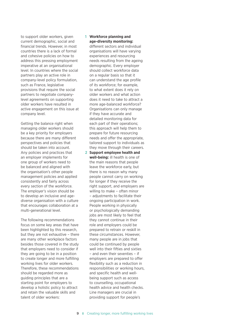to support older workers, given current demographic, social and financial trends. However, in most countries there is a lack of formal and cohesive policies on how to address this pressing employment imperative at an organisational level. In countries where the social partners play an active role in company-level policy formulation, such as France, legislative provisions that require the social partners to negotiate companylevel agreements on supporting older workers have resulted in active engagement on this issue at company level.

Getting the balance right when managing older workers should be a key priority for employers because there are many different perspectives and policies that should be taken into account. Any policies and practices that an employer implements for one group of workers need to be balanced and aligned with the organisation's other people management policies and applied consistently and fairly across every section of the workforce. The employer's vision should be to develop an inclusive and agediverse organisation with a culture that encourages collaboration at a multi-generational level.

The following recommendations focus on some key areas that have been highlighted by this research, but they are not exhaustive – there are many other workplace factors besides those covered in the study that employers need to consider if they are going to be in a position to create longer and more fulfilling working lives for older workers. Therefore, these recommendations should be regarded more as guiding principles that are a starting point for employers to develop a holistic policy to attract and retain the valuable skills and talent of older workers:

#### **1 Workforce planning and age-diversity monitoring:**

different sectors and individual organisations will have varying experiences and resourcing needs resulting from the ageing demographic. Every employer should collect workforce data on a regular basis so that it can understand the age profile of its workforce; for example, to what extent does it rely on older workers and what action does it need to take to attract a more age-balanced workforce? Organisations can only manage if they have accurate and detailed monitoring data for each part of their operations; this approach will help them to prepare for future resourcing needs and offer the appropriate, tailored support to individuals as they move through their careers.

**2 Support employee health and well-being:** ill health is one of the main reasons that people leave the workforce early, but there is no reason why many people cannot carry on working for longer if they receive the right support, and employers are willing to make – often minor – adjustments to facilitate their ongoing participation in work. People working in physically or psychologically demanding jobs are most likely to feel that they cannot continue in their role and employers could be prepared to retrain or reskill in these circumstances. However, many people are in jobs that could be continued by people well into their fifties and sixties – and even their seventies – if employers are prepared to offer flexibility such as a reduction in responsibilities or working hours, and specific health and wellbeing support such as access to counselling, occupational health advice and health checks. Line managers are crucial in providing support for people's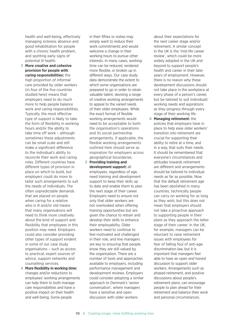health and well-being, effectively managing sickness absence and good rehabilitation for people with a chronic health problem. and spotting early signs of potential ill health.

- **3 More creative and cohesive provision for people with caring responsibilities:** the high proportion of informal care provided by older workers (in four of the five countries studied here) means that employers need to do much more to help people balance work and caring responsibilities. Typically, the most effective type of support is likely to take the form of flexibility in working hours and/or the ability to take time off work – although sometimes these adjustments can be small scale and still make a significant difference to the individual's ability to reconcile their work and caring roles. Different countries have different types of provision in place on which to build, but employers could do more to tailor such arrangements to suit the needs of individuals. The often unpredictable demands that are placed on people when caring for a relative who is ill and/or old means that many organisations will need to think more creatively about the kind of support and flexibility that employees in this position may need. Employers could also consider providing other types of support evident in some of our case study organisations – such as access to practical, expert sources of advice, support networks and counselling services.
- **4 More flexibility in working time:**  changes and/or reductions to employees' working arrangements can help them to both manage care responsibilities and have a positive impact on their health and well-being. Some people

in their fifties or sixties may simply want to reduce their work commitments and would welcome a change in their working hours to pursue other interests. In many cases, working time can be reduced, rendered more flexible, or broken up in different ways. Our case study data demonstrate the extent to which some organisations are prepared to go in order to retain valuable talent, devising a range of creative working arrangements to appeal to the varied needs of their older employees. While the exact format of flexible working arrangements would need to be acceptable to both the organisation's operations and its social partnership arrangements, if applicable, the flexible working arrangements outlined here should serve as inspiration for employers across geographical boundaries.

**5 Providing training and development support:** all employees, regardless of age, need training and development support to keep their skills up to date and enable them to plan the next stage of their career. Employers need to ensure not only that older workers are not overlooked when offering training opportunities but are given the chance to retrain and develop their skills to enhance their employability. Older workers need to continue to feel motivated and challenged in their role, and line managers are key to ensuring that people know they are still valued by the organisation. There are a number of tools and approaches available to employers, including performance management and development reviews. Employers could consider adopting a similar approach to Denmark's 'senior conversation', where managers have a sensitive and open discussion with older workers

about their expectations for the next career stage and/or retirement. A similar concept in the UK is the 'mid-life career review', which could be more widely adopted in the UK and beyond to support people's health and career in their later years of employment. However, there is no reason why these development discussions should not take place in the workplace at every phase of a person's career, but be tailored to suit individuals' working needs and aspirations as they progress through every stage of their working life.

**6 Managing retirement:** the policies that empIoyers have in place to help ease older workers' transition into retirement are crucial for supporting their ability to retire at a time, and in a way, that suits their needs. It should be remembered that everyone's circumstances and attitudes towards retirement are different and arrangements should be tailored to individual needs as far as possible. Now that the default retirement age has been abolished in many countries, technically people can carry on working for as long as they wish, but this does not mean that employers should not take a proactive approach to supporting people in their plans as they approach the latter stage of their career. In the UK, for example, managers can be reluctant to raise retirement issues with employees for fear of falling foul of anti-age discrimination law, but it is important that managers feel able to have an open and honest discussion to support older workers. Arrangements such as phased retirement, and positive discussions about people's retirement plans, can encourage people to plan ahead for their retirement and balance their work and personal circumstances.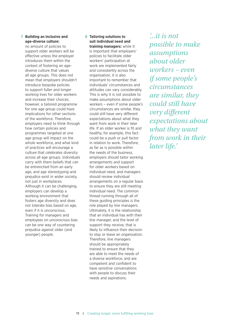#### **7 Building an inclusive and age-diverse culture:**

no amount of policies to support older workers will be effective unless the employer introduces them within the context of fostering an agediverse culture that values all age groups. This does not mean that employers shouldn't introduce bespoke policies to support fuller and longer working lives for older workers and increase their choices; however, a tailored programme for one age group could have implications for other sections of the workforce. Therefore, employers need to think through how certain policies and programmes targeted at one age group will impact on the whole workforce, and what kind of practices will encourage a culture that celebrates diversity across all age groups. Individuals carry with them beliefs that can be entrenched from an early age, and age stereotyping and prejudice exist in wider society, not just in workplaces. Although it can be challenging, employers can develop a working environment that fosters age diversity and does not tolerate bias based on age, even if it is unconscious. Training for managers and employees on unconscious bias can be one way of countering prejudice against older (and younger) people.

#### **8 Tailoring solutions to suit individual need and training managers:** while it

is important that employers' policies to facilitate older workers' participation at work are implemented fairly and consistently across the organisation, it is also important to remember that individuals' circumstances and attitudes can vary considerably. This is why it is not possible to make assumptions about older workers – even if some people's circumstances are similar, they could still have very different expectations about what they want from work in their later life. If an older worker is fit and healthy, for example, this fact could be a push or pull factor in relation to work. Therefore, as far as is possible within the needs of the business, employers should tailor working arrangements and support for older workers based on individual need, and managers should review individual arrangements on a regular basis to ensure they are still meeting individual need. The common thread running through all of these guiding principles is the role played by line managers. Ultimately, it is the relationship that an individual has with their line manager, and the level of support they receive, that is likely to influence their decision to stay or leave an organisation. Therefore, line managers should be appropriately trained to ensure that they are able to meet the needs of a diverse workforce, and are competent and confident to have sensitive conversations with people to discuss their needs and aspirations.

*'...it is not possible to make assumptions about older workers – even if some people's circumstances are similar, they could still have very different expectations about what they want from work in their later life.'*